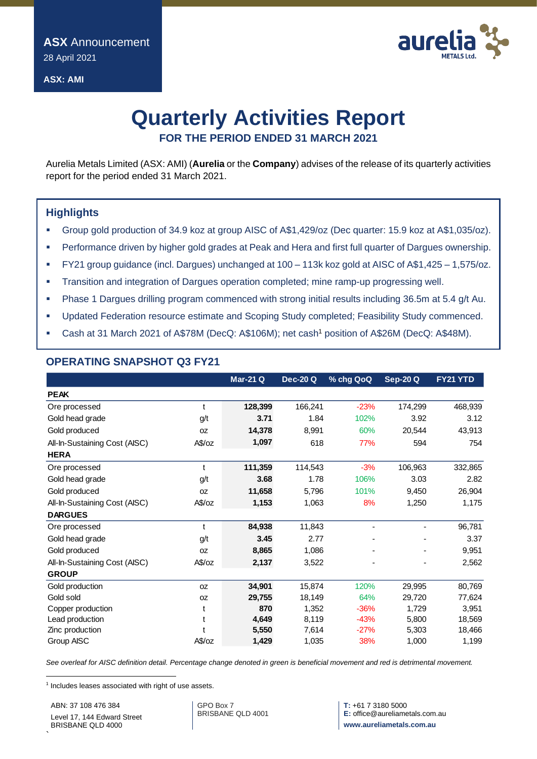**ASX: AMI**



# **Quarterly Activities Report FOR THE PERIOD ENDED 31 MARCH 2021**

Aurelia Metals Limited (ASX: AMI) (**Aurelia** or the **Company**) advises of the release of its quarterly activities report for the period ended 31 March 2021.

## **Highlights**

- Group gold production of 34.9 koz at group AISC of A\$1,429/oz (Dec quarter: 15.9 koz at A\$1,035/oz).
- **•** Performance driven by higher gold grades at Peak and Hera and first full quarter of Dargues ownership.
- FY21 group guidance (incl. Dargues) unchanged at 100 113k koz gold at AISC of A\$1,425 1,575/oz.
- Transition and integration of Dargues operation completed; mine ramp-up progressing well.
- **Phase 1 Dargues drilling program commenced with strong initial results including 36.5m at 5.4 g/t Au.**
- Updated Federation resource estimate and Scoping Study completed; Feasibility Study commenced.
- Cash at 31 March 2021 of A\$78M (DecQ: A\$106M); net cash<sup>1</sup> position of A\$26M (DecQ: A\$48M).

## **OPERATING SNAPSHOT Q3 FY21**

|                               |           | <b>Mar-21 Q</b> | <b>Dec-20 Q</b> | % chg QoQ | <b>Sep-20 Q</b> | FY21 YTD |
|-------------------------------|-----------|-----------------|-----------------|-----------|-----------------|----------|
| <b>PEAK</b>                   |           |                 |                 |           |                 |          |
| Ore processed                 | t         | 128,399         | 166,241         | $-23%$    | 174,299         | 468,939  |
| Gold head grade               | g/t       | 3.71            | 1.84            | 102%      | 3.92            | 3.12     |
| Gold produced                 | 0Z        | 14,378          | 8,991           | 60%       | 20,544          | 43,913   |
| All-In-Sustaining Cost (AISC) | $A\$ ioz  | 1,097           | 618             | 77%       | 594             | 754      |
| <b>HERA</b>                   |           |                 |                 |           |                 |          |
| Ore processed                 | t         | 111,359         | 114,543         | $-3%$     | 106,963         | 332,865  |
| Gold head grade               | g/t       | 3.68            | 1.78            | 106%      | 3.03            | 2.82     |
| Gold produced                 | <b>OZ</b> | 11,658          | 5,796           | 101%      | 9,450           | 26,904   |
| All-In-Sustaining Cost (AISC) | A\$/oz    | 1,153           | 1,063           | 8%        | 1,250           | 1,175    |
| <b>DARGUES</b>                |           |                 |                 |           |                 |          |
| Ore processed                 | t         | 84,938          | 11,843          |           |                 | 96,781   |
| Gold head grade               | g/t       | 3.45            | 2.77            |           |                 | 3.37     |
| Gold produced                 | 0Z        | 8,865           | 1,086           |           |                 | 9,951    |
| All-In-Sustaining Cost (AISC) | $A\$ ioz  | 2,137           | 3,522           |           |                 | 2,562    |
| <b>GROUP</b>                  |           |                 |                 |           |                 |          |
| Gold production               | <b>OZ</b> | 34,901          | 15,874          | 120%      | 29,995          | 80,769   |
| Gold sold                     | <b>OZ</b> | 29,755          | 18,149          | 64%       | 29,720          | 77,624   |
| Copper production             |           | 870             | 1,352           | $-36%$    | 1,729           | 3,951    |
| Lead production               |           | 4,649           | 8,119           | $-43%$    | 5,800           | 18,569   |
| Zinc production               |           | 5,550           | 7,614           | $-27%$    | 5,303           | 18,466   |
| Group AISC                    | A\$/oz    | 1,429           | 1,035           | 38%       | 1,000           | 1,199    |

*See overleaf for AISC definition detail. Percentage change denoted in green is beneficial movement and red is detrimental movement.*

<sup>1</sup> Includes leases associated with right of use assets.

ABN: 37 108 476 384 Level 17, 144 Edward Street BRISBANE QLD 4000

`

GPO Box 7 BRISBANE QLD 4001

**T:** +61 7 3180 5000 **E:** office@aureliametals.com.au **[www.aureliametals.com.au](file:///C:/Users/leebo/Dropbox/FM%20-%20Clients/AMI/www.aureliametals.com.au)**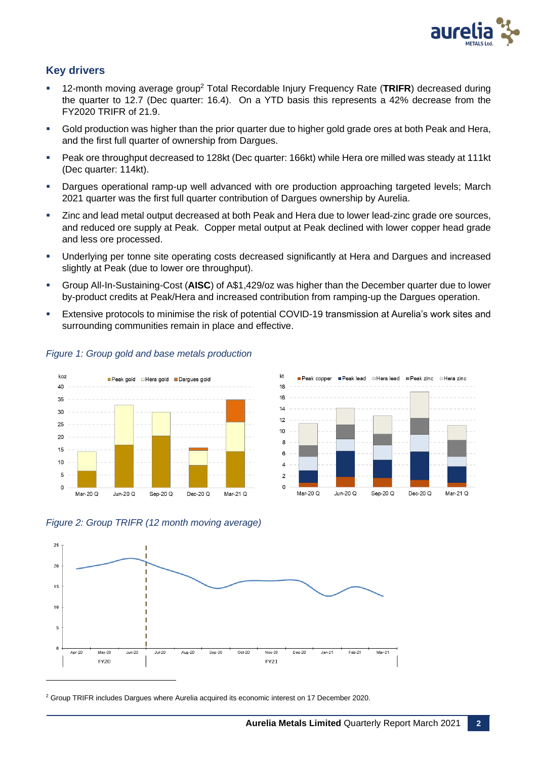

# **Key drivers**

- 12-month moving average group<sup>2</sup> Total Recordable Injury Frequency Rate (TRIFR) decreased during the quarter to 12.7 (Dec quarter: 16.4). On a YTD basis this represents a 42% decrease from the FY2020 TRIFR of 21.9.
- Gold production was higher than the prior quarter due to higher gold grade ores at both Peak and Hera, and the first full quarter of ownership from Dargues.
- Peak ore throughput decreased to 128kt (Dec quarter: 166kt) while Hera ore milled was steady at 111kt (Dec quarter: 114kt).
- Dargues operational ramp-up well advanced with ore production approaching targeted levels; March 2021 quarter was the first full quarter contribution of Dargues ownership by Aurelia.
- Zinc and lead metal output decreased at both Peak and Hera due to lower lead-zinc grade ore sources, and reduced ore supply at Peak. Copper metal output at Peak declined with lower copper head grade and less ore processed.
- Underlying per tonne site operating costs decreased significantly at Hera and Dargues and increased slightly at Peak (due to lower ore throughput).
- Group All-In-Sustaining-Cost (**AISC**) of A\$1,429/oz was higher than the December quarter due to lower by-product credits at Peak/Hera and increased contribution from ramping-up the Dargues operation.
- **Extensive protocols to minimise the risk of potential COVID-19 transmission at Aurelia's work sites and** surrounding communities remain in place and effective.



## *Figure 1: Group gold and base metals production*







<sup>2</sup> Group TRIFR includes Dargues where Aurelia acquired its economic interest on 17 December 2020.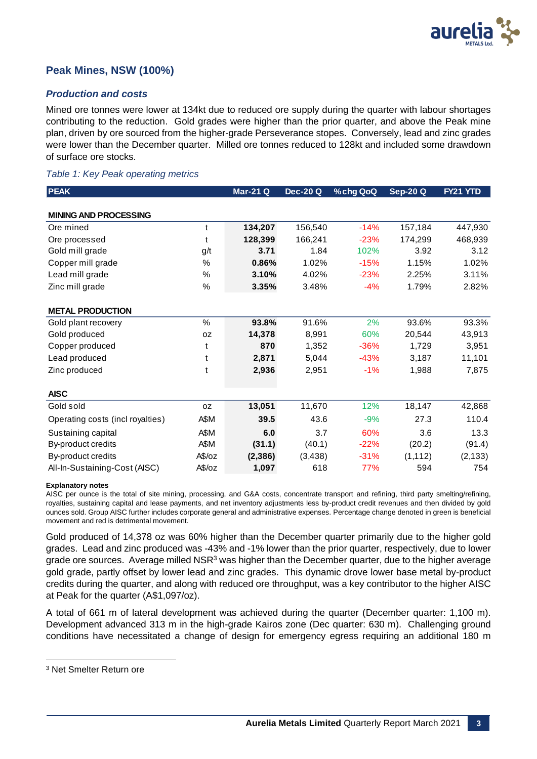

# **Peak Mines, NSW (100%)**

## *Production and costs*

Mined ore tonnes were lower at 134kt due to reduced ore supply during the quarter with labour shortages contributing to the reduction. Gold grades were higher than the prior quarter, and above the Peak mine plan, driven by ore sourced from the higher-grade Perseverance stopes. Conversely, lead and zinc grades were lower than the December quarter. Milled ore tonnes reduced to 128kt and included some drawdown of surface ore stocks.

#### *Table 1: Key Peak operating metrics*

| <b>PEAK</b>                      |           | <b>Mar-21 Q</b> | <b>Dec-20 Q</b> | %chg QoQ | <b>Sep-20 Q</b> | FY21 YTD |
|----------------------------------|-----------|-----------------|-----------------|----------|-----------------|----------|
|                                  |           |                 |                 |          |                 |          |
| <b>MINING AND PROCESSING</b>     |           |                 |                 |          |                 |          |
| Ore mined                        | t         | 134,207         | 156,540         | $-14%$   | 157,184         | 447,930  |
| Ore processed                    | t         | 128,399         | 166.241         | $-23%$   | 174.299         | 468.939  |
| Gold mill grade                  | g/t       | 3.71            | 1.84            | 102%     | 3.92            | 3.12     |
| Copper mill grade                | %         | 0.86%           | 1.02%           | $-15%$   | 1.15%           | 1.02%    |
| Lead mill grade                  | %         | 3.10%           | 4.02%           | $-23%$   | 2.25%           | 3.11%    |
| Zinc mill grade                  | %         | 3.35%           | 3.48%           | $-4%$    | 1.79%           | 2.82%    |
| <b>METAL PRODUCTION</b>          |           |                 |                 |          |                 |          |
| Gold plant recovery              | %         | 93.8%           | 91.6%           | 2%       | 93.6%           | 93.3%    |
| Gold produced                    | 0Z        | 14,378          | 8,991           | 60%      | 20,544          | 43,913   |
| Copper produced                  | t         | 870             | 1,352           | $-36%$   | 1,729           | 3,951    |
| Lead produced                    | t         | 2,871           | 5,044           | $-43%$   | 3,187           | 11,101   |
| Zinc produced                    | t         | 2,936           | 2,951           | $-1%$    | 1,988           | 7,875    |
| <b>AISC</b>                      |           |                 |                 |          |                 |          |
| Gold sold                        | <b>OZ</b> | 13,051          | 11,670          | 12%      | 18,147          | 42,868   |
| Operating costs (incl royalties) | A\$M      | 39.5            | 43.6            | $-9%$    | 27.3            | 110.4    |
| Sustaining capital               | A\$M      | 6.0             | 3.7             | 60%      | 3.6             | 13.3     |
| By-product credits               | A\$M      | (31.1)          | (40.1)          | $-22%$   | (20.2)          | (91.4)   |
| By-product credits               | $A\$ i/oz | (2, 386)        | (3, 438)        | $-31%$   | (1, 112)        | (2, 133) |
| All-In-Sustaining-Cost (AISC)    | $A\$ i/oz | 1,097           | 618             | 77%      | 594             | 754      |

#### **Explanatory notes**

AISC per ounce is the total of site mining, processing, and G&A costs, concentrate transport and refining, third party smelting/refining, royalties, sustaining capital and lease payments, and net inventory adjustments less by-product credit revenues and then divided by gold ounces sold. Group AISC further includes corporate general and administrative expenses. Percentage change denoted in green is beneficial movement and red is detrimental movement.

Gold produced of 14,378 oz was 60% higher than the December quarter primarily due to the higher gold grades. Lead and zinc produced was -43% and -1% lower than the prior quarter, respectively, due to lower grade ore sources. Average milled NSR<sup>3</sup> was higher than the December quarter, due to the higher average gold grade, partly offset by lower lead and zinc grades. This dynamic drove lower base metal by-product credits during the quarter, and along with reduced ore throughput, was a key contributor to the higher AISC at Peak for the quarter (A\$1,097/oz).

A total of 661 m of lateral development was achieved during the quarter (December quarter: 1,100 m). Development advanced 313 m in the high-grade Kairos zone (Dec quarter: 630 m). Challenging ground conditions have necessitated a change of design for emergency egress requiring an additional 180 m

<sup>3</sup> Net Smelter Return ore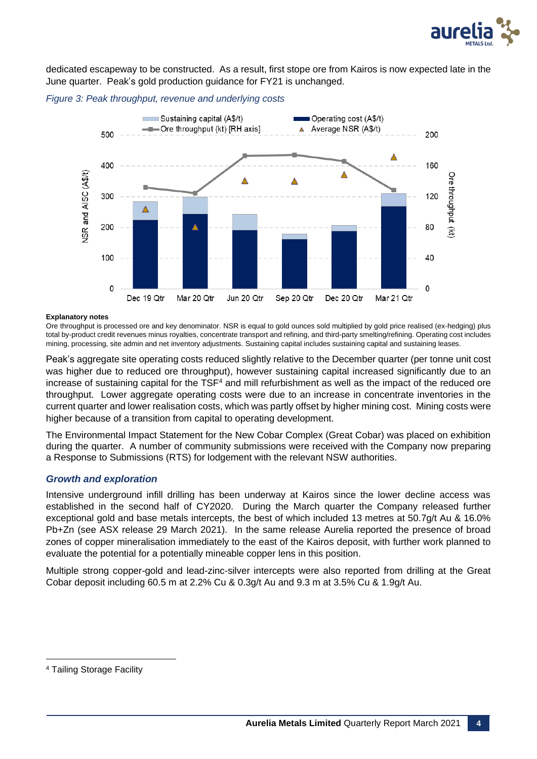

dedicated escapeway to be constructed. As a result, first stope ore from Kairos is now expected late in the June quarter. Peak's gold production guidance for FY21 is unchanged.

*Figure 3: Peak throughput, revenue and underlying costs*



#### **Explanatory notes**

Ore throughput is processed ore and key denominator. NSR is equal to gold ounces sold multiplied by gold price realised (ex-hedging) plus total by-product credit revenues minus royalties, concentrate transport and refining, and third-party smelting/refining. Operating cost includes mining, processing, site admin and net inventory adjustments. Sustaining capital includes sustaining capital and sustaining leases.

Peak's aggregate site operating costs reduced slightly relative to the December quarter (per tonne unit cost was higher due to reduced ore throughput), however sustaining capital increased significantly due to an increase of sustaining capital for the TSF<sup>4</sup> and mill refurbishment as well as the impact of the reduced ore throughput. Lower aggregate operating costs were due to an increase in concentrate inventories in the current quarter and lower realisation costs, which was partly offset by higher mining cost. Mining costs were higher because of a transition from capital to operating development.

The Environmental Impact Statement for the New Cobar Complex (Great Cobar) was placed on exhibition during the quarter. A number of community submissions were received with the Company now preparing a Response to Submissions (RTS) for lodgement with the relevant NSW authorities.

#### *Growth and exploration*

Intensive underground infill drilling has been underway at Kairos since the lower decline access was established in the second half of CY2020. During the March quarter the Company released further exceptional gold and base metals intercepts, the best of which included 13 metres at 50.7g/t Au & 16.0% Pb+Zn (see ASX release 29 March 2021). In the same release Aurelia reported the presence of broad zones of copper mineralisation immediately to the east of the Kairos deposit, with further work planned to evaluate the potential for a potentially mineable copper lens in this position.

Multiple strong copper-gold and lead-zinc-silver intercepts were also reported from drilling at the Great Cobar deposit including 60.5 m at 2.2% Cu & 0.3g/t Au and 9.3 m at 3.5% Cu & 1.9g/t Au.

<sup>4</sup> Tailing Storage Facility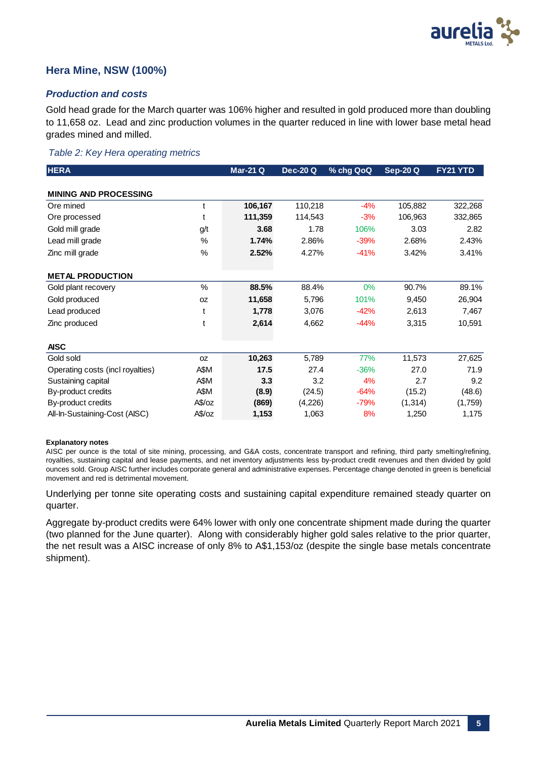

# **Hera Mine, NSW (100%)**

## *Production and costs*

Gold head grade for the March quarter was 106% higher and resulted in gold produced more than doubling to 11,658 oz. Lead and zinc production volumes in the quarter reduced in line with lower base metal head grades mined and milled.

## *Table 2: Key Hera operating metrics*

| <b>HERA</b>                      |               | <b>Mar-21 Q</b> | <b>Dec-20 Q</b> | % chg QoQ | <b>Sep-20 Q</b> | FY21 YTD |
|----------------------------------|---------------|-----------------|-----------------|-----------|-----------------|----------|
|                                  |               |                 |                 |           |                 |          |
| <b>MINING AND PROCESSING</b>     |               |                 |                 |           |                 |          |
| Ore mined                        | t             | 106,167         | 110,218         | $-4%$     | 105,882         | 322,268  |
| Ore processed                    | t             | 111,359         | 114,543         | $-3%$     | 106,963         | 332,865  |
| Gold mill grade                  | g/t           | 3.68            | 1.78            | 106%      | 3.03            | 2.82     |
| Lead mill grade                  | $\%$          | 1.74%           | 2.86%           | $-39%$    | 2.68%           | 2.43%    |
| Zinc mill grade                  | $\%$          | 2.52%           | 4.27%           | $-41%$    | 3.42%           | 3.41%    |
|                                  |               |                 |                 |           |                 |          |
| <b>METAL PRODUCTION</b>          |               |                 |                 |           |                 |          |
| Gold plant recovery              | $\frac{0}{0}$ | 88.5%           | 88.4%           | $0\%$     | 90.7%           | 89.1%    |
| Gold produced                    | 0Z            | 11,658          | 5,796           | 101%      | 9,450           | 26,904   |
| Lead produced                    | t             | 1,778           | 3,076           | $-42%$    | 2,613           | 7,467    |
| Zinc produced                    | t             | 2,614           | 4,662           | $-44%$    | 3,315           | 10,591   |
| <b>AISC</b>                      |               |                 |                 |           |                 |          |
| Gold sold                        | <b>OZ</b>     | 10,263          | 5,789           | 77%       | 11,573          | 27,625   |
| Operating costs (incl royalties) | A\$M          | 17.5            | 27.4            | $-36%$    | 27.0            | 71.9     |
| Sustaining capital               | A\$M          | 3.3             | 3.2             | 4%        | 2.7             | 9.2      |
| By-product credits               | A\$M          | (8.9)           | (24.5)          | $-64%$    | (15.2)          | (48.6)   |
| By-product credits               | A\$/oz        | (869)           | (4,226)         | $-79%$    | (1, 314)        | (1,759)  |
| All-In-Sustaining-Cost (AISC)    | A\$/oz        | 1,153           | 1,063           | 8%        | 1,250           | 1,175    |

#### **Explanatory notes**

AISC per ounce is the total of site mining, processing, and G&A costs, concentrate transport and refining, third party smelting/refining, royalties, sustaining capital and lease payments, and net inventory adjustments less by-product credit revenues and then divided by gold ounces sold. Group AISC further includes corporate general and administrative expenses. Percentage change denoted in green is beneficial movement and red is detrimental movement.

Underlying per tonne site operating costs and sustaining capital expenditure remained steady quarter on quarter.

Aggregate by-product credits were 64% lower with only one concentrate shipment made during the quarter (two planned for the June quarter). Along with considerably higher gold sales relative to the prior quarter, the net result was a AISC increase of only 8% to A\$1,153/oz (despite the single base metals concentrate shipment).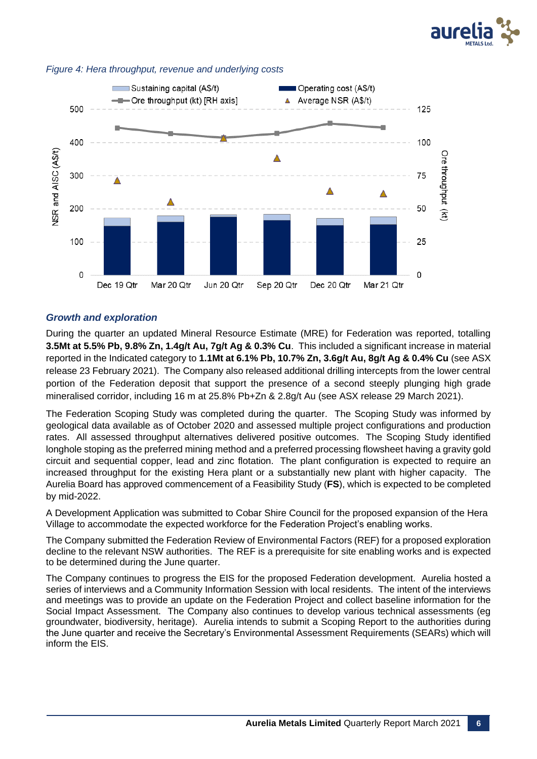

#### *Figure 4: Hera throughput, revenue and underlying costs*



## *Growth and exploration*

During the quarter an updated Mineral Resource Estimate (MRE) for Federation was reported, totalling **3.5Mt at 5.5% Pb, 9.8% Zn, 1.4g/t Au, 7g/t Ag & 0.3% Cu**. This included a significant increase in material reported in the Indicated category to **1.1Mt at 6.1% Pb, 10.7% Zn, 3.6g/t Au, 8g/t Ag & 0.4% Cu** (see ASX release 23 February 2021). The Company also released additional drilling intercepts from the lower central portion of the Federation deposit that support the presence of a second steeply plunging high grade mineralised corridor, including 16 m at 25.8% Pb+Zn & 2.8g/t Au (see ASX release 29 March 2021).

The Federation Scoping Study was completed during the quarter. The Scoping Study was informed by geological data available as of October 2020 and assessed multiple project configurations and production rates. All assessed throughput alternatives delivered positive outcomes. The Scoping Study identified longhole stoping as the preferred mining method and a preferred processing flowsheet having a gravity gold circuit and sequential copper, lead and zinc flotation. The plant configuration is expected to require an increased throughput for the existing Hera plant or a substantially new plant with higher capacity. The Aurelia Board has approved commencement of a Feasibility Study (**FS**), which is expected to be completed by mid-2022.

A Development Application was submitted to Cobar Shire Council for the proposed expansion of the Hera Village to accommodate the expected workforce for the Federation Project's enabling works.

The Company submitted the Federation Review of Environmental Factors (REF) for a proposed exploration decline to the relevant NSW authorities. The REF is a prerequisite for site enabling works and is expected to be determined during the June quarter.

The Company continues to progress the EIS for the proposed Federation development. Aurelia hosted a series of interviews and a Community Information Session with local residents. The intent of the interviews and meetings was to provide an update on the Federation Project and collect baseline information for the Social Impact Assessment. The Company also continues to develop various technical assessments (eg groundwater, biodiversity, heritage). Aurelia intends to submit a Scoping Report to the authorities during the June quarter and receive the Secretary's Environmental Assessment Requirements (SEARs) which will inform the EIS.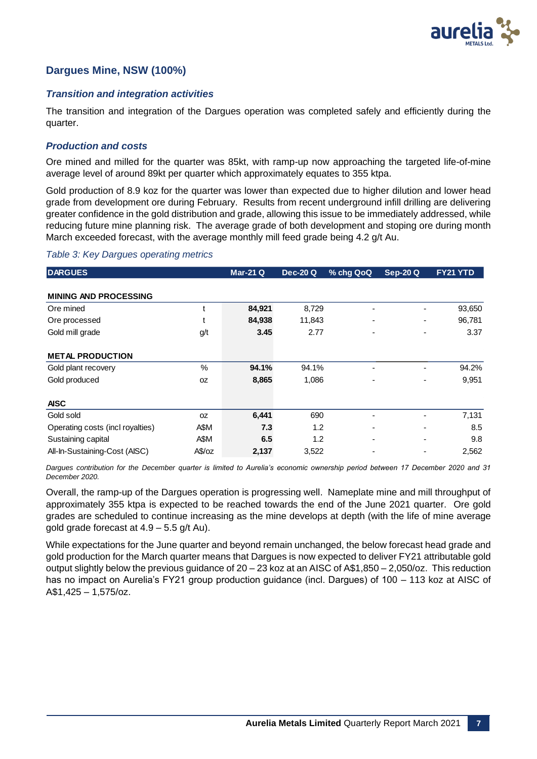

# **Dargues Mine, NSW (100%)**

#### *Transition and integration activities*

The transition and integration of the Dargues operation was completed safely and efficiently during the quarter.

#### *Production and costs*

Ore mined and milled for the quarter was 85kt, with ramp-up now approaching the targeted life-of-mine average level of around 89kt per quarter which approximately equates to 355 ktpa.

Gold production of 8.9 koz for the quarter was lower than expected due to higher dilution and lower head grade from development ore during February. Results from recent underground infill drilling are delivering greater confidence in the gold distribution and grade, allowing this issue to be immediately addressed, while reducing future mine planning risk. The average grade of both development and stoping ore during month March exceeded forecast, with the average monthly mill feed grade being 4.2 g/t Au.

#### *Table 3: Key Dargues operating metrics*

| <b>DARGUES</b>                   |           | <b>Mar-21 Q</b> | <b>Dec-20 Q</b> | % chg QoQ                | <b>Sep-20 Q</b>          | FY21 YTD |
|----------------------------------|-----------|-----------------|-----------------|--------------------------|--------------------------|----------|
| <b>MINING AND PROCESSING</b>     |           |                 |                 |                          |                          |          |
| Ore mined                        | t         | 84,921          | 8,729           |                          |                          | 93,650   |
| Ore processed                    |           | 84,938          | 11,843          |                          | ۰                        | 96,781   |
| Gold mill grade                  | g/t       | 3.45            | 2.77            |                          |                          | 3.37     |
| <b>METAL PRODUCTION</b>          |           |                 |                 |                          |                          |          |
| Gold plant recovery              | $\%$      | 94.1%           | 94.1%           |                          |                          | 94.2%    |
| Gold produced                    | <b>OZ</b> | 8,865           | 1,086           | $\overline{\phantom{0}}$ | $\overline{\phantom{0}}$ | 9,951    |
| <b>AISC</b>                      |           |                 |                 |                          |                          |          |
| Gold sold                        | <b>OZ</b> | 6,441           | 690             |                          |                          | 7,131    |
| Operating costs (incl royalties) | A\$M      | 7.3             | 1.2             |                          |                          | 8.5      |
| Sustaining capital               | A\$M      | 6.5             | 1.2             | $\overline{\phantom{0}}$ | $\overline{\phantom{0}}$ | 9.8      |
| All-In-Sustaining-Cost (AISC)    | $A\$ i/oz | 2,137           | 3,522           |                          |                          | 2,562    |

*Dargues contribution for the December quarter is limited to Aurelia's economic ownership period between 17 December 2020 and 31 December 2020.*

Overall, the ramp-up of the Dargues operation is progressing well. Nameplate mine and mill throughput of approximately 355 ktpa is expected to be reached towards the end of the June 2021 quarter. Ore gold grades are scheduled to continue increasing as the mine develops at depth (with the life of mine average gold grade forecast at 4.9 – 5.5 g/t Au).

While expectations for the June quarter and beyond remain unchanged, the below forecast head grade and gold production for the March quarter means that Dargues is now expected to deliver FY21 attributable gold output slightly below the previous guidance of 20 – 23 koz at an AISC of A\$1,850 – 2,050/oz. This reduction has no impact on Aurelia's FY21 group production guidance (incl. Dargues) of 100 – 113 koz at AISC of  $A$1,425 - 1,575/oz.$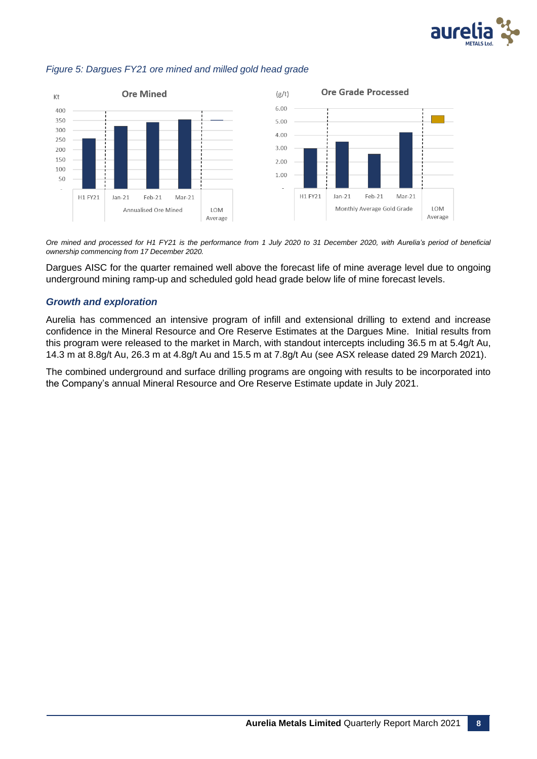

## *Figure 5: Dargues FY21 ore mined and milled gold head grade*



*Ore mined and processed for H1 FY21 is the performance from 1 July 2020 to 31 December 2020, with Aurelia's period of beneficial ownership commencing from 17 December 2020.*

Dargues AISC for the quarter remained well above the forecast life of mine average level due to ongoing underground mining ramp-up and scheduled gold head grade below life of mine forecast levels.

#### *Growth and exploration*

Aurelia has commenced an intensive program of infill and extensional drilling to extend and increase confidence in the Mineral Resource and Ore Reserve Estimates at the Dargues Mine. Initial results from this program were released to the market in March, with standout intercepts including 36.5 m at 5.4g/t Au, 14.3 m at 8.8g/t Au, 26.3 m at 4.8g/t Au and 15.5 m at 7.8g/t Au (see ASX release dated 29 March 2021).

The combined underground and surface drilling programs are ongoing with results to be incorporated into the Company's annual Mineral Resource and Ore Reserve Estimate update in July 2021.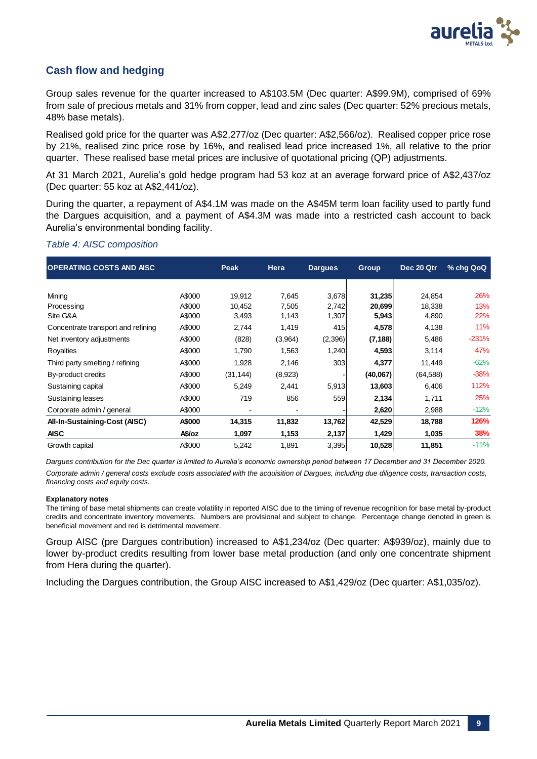

# **Cash flow and hedging**

Group sales revenue for the quarter increased to A\$103.5M (Dec quarter: A\$99.9M), comprised of 69% from sale of precious metals and 31% from copper, lead and zinc sales (Dec quarter: 52% precious metals, 48% base metals).

Realised gold price for the quarter was A\$2,277/oz (Dec quarter: A\$2,566/oz). Realised copper price rose by 21%, realised zinc price rose by 16%, and realised lead price increased 1%, all relative to the prior quarter. These realised base metal prices are inclusive of quotational pricing (QP) adjustments.

At 31 March 2021, Aurelia's gold hedge program had 53 koz at an average forward price of A\$2,437/oz (Dec quarter: 55 koz at A\$2,441/oz).

During the quarter, a repayment of A\$4.1M was made on the A\$45M term loan facility used to partly fund the Dargues acquisition, and a payment of A\$4.3M was made into a restricted cash account to back Aurelia's environmental bonding facility.

#### *Table 4: AISC composition*

| <b>OPERATING COSTS AND AISC</b>    |        | Peak      | <b>Hera</b> | <b>Dargues</b> | <b>Group</b> | Dec 20 Qtr | % chg QoQ |
|------------------------------------|--------|-----------|-------------|----------------|--------------|------------|-----------|
|                                    |        |           |             |                |              |            |           |
| Mining                             | A\$000 | 19,912    | 7,645       | 3,678          | 31,235       | 24,854     | 26%       |
| Processing                         | A\$000 | 10,452    | 7,505       | 2,742          | 20,699       | 18,338     | 13%       |
| Site G&A                           | A\$000 | 3,493     | 1,143       | 1,307          | 5,943        | 4,890      | 22%       |
| Concentrate transport and refining | A\$000 | 2,744     | 1,419       | 415            | 4,578        | 4,138      | 11%       |
| Net inventory adjustments          | A\$000 | (828)     | (3,964)     | (2,396)        | (7, 188)     | 5,486      | $-231%$   |
| Royalties                          | A\$000 | 1,790     | 1,563       | 1,240          | 4,593        | 3,114      | 47%       |
| Third party smelting / refining    | A\$000 | 1,928     | 2,146       | 303            | 4,377        | 11,449     | $-62%$    |
| By-product credits                 | A\$000 | (31, 144) | (8,923)     |                | (40, 067)    | (64, 588)  | $-38%$    |
| Sustaining capital                 | A\$000 | 5,249     | 2,441       | 5,913          | 13,603       | 6,406      | 112%      |
| Sustaining leases                  | A\$000 | 719       | 856         | 559            | 2,134        | 1,711      | 25%       |
| Corporate admin / general          | A\$000 |           |             |                | 2,620        | 2,988      | $-12%$    |
| All-In-Sustaining-Cost (AISC)      | A\$000 | 14,315    | 11,832      | 13,762         | 42,529       | 18,788     | 126%      |
| <b>AISC</b>                        | A\$/oz | 1,097     | 1,153       | 2,137          | 1,429        | 1,035      | 38%       |
| Growth capital                     | A\$000 | 5,242     | 1,891       | 3,395          | 10,528       | 11,851     | $-11%$    |

*Dargues contribution for the Dec quarter is limited to Aurelia's economic ownership period between 17 December and 31 December 2020. Corporate admin / general costs exclude costs associated with the acquisition of Dargues, including due diligence costs, transaction costs, financing costs and equity costs.*

#### **Explanatory notes**

The timing of base metal shipments can create volatility in reported AISC due to the timing of revenue recognition for base metal by-product credits and concentrate inventory movements. Numbers are provisional and subject to change. Percentage change denoted in green is beneficial movement and red is detrimental movement.

Group AISC (pre Dargues contribution) increased to A\$1,234/oz (Dec quarter: A\$939/oz), mainly due to lower by-product credits resulting from lower base metal production (and only one concentrate shipment from Hera during the quarter).

Including the Dargues contribution, the Group AISC increased to A\$1,429/oz (Dec quarter: A\$1,035/oz).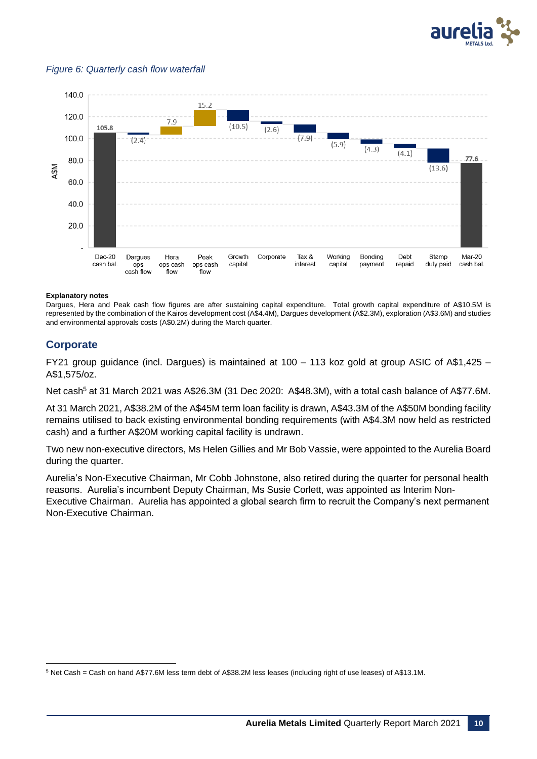

#### *Figure 6: Quarterly cash flow waterfall*



#### **Explanatory notes**

Dargues, Hera and Peak cash flow figures are after sustaining capital expenditure. Total growth capital expenditure of A\$10.5M is represented by the combination of the Kairos development cost (A\$4.4M), Dargues development (A\$2.3M), exploration (A\$3.6M) and studies and environmental approvals costs (A\$0.2M) during the March quarter.

## **Corporate**

FY21 group guidance (incl. Dargues) is maintained at 100 – 113 koz gold at group ASIC of A\$1,425 – A\$1,575/oz.

Net cash<sup>5</sup> at 31 March 2021 was A\$26.3M (31 Dec 2020: A\$48.3M), with a total cash balance of A\$77.6M.

At 31 March 2021, A\$38.2M of the A\$45M term loan facility is drawn, A\$43.3M of the A\$50M bonding facility remains utilised to back existing environmental bonding requirements (with A\$4.3M now held as restricted cash) and a further A\$20M working capital facility is undrawn.

Two new non-executive directors, Ms Helen Gillies and Mr Bob Vassie, were appointed to the Aurelia Board during the quarter.

Aurelia's Non-Executive Chairman, Mr Cobb Johnstone, also retired during the quarter for personal health reasons. Aurelia's incumbent Deputy Chairman, Ms Susie Corlett, was appointed as Interim Non-Executive Chairman. Aurelia has appointed a global search firm to recruit the Company's next permanent Non-Executive Chairman.

<sup>5</sup> Net Cash = Cash on hand A\$77.6M less term debt of A\$38.2M less leases (including right of use leases) of A\$13.1M.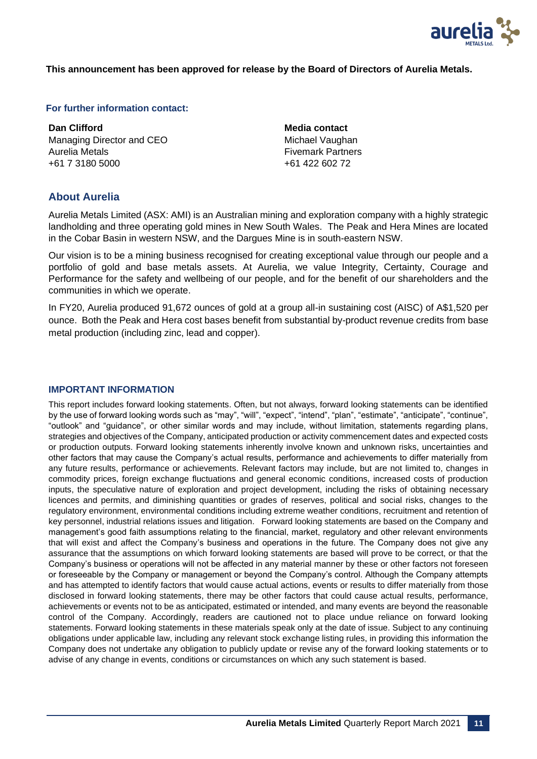

#### **This announcement has been approved for release by the Board of Directors of Aurelia Metals.**

#### **For further information contact:**

**Dan Clifford** Managing Director and CEO Aurelia Metals +61 7 3180 5000

**Media contact** Michael Vaughan Fivemark Partners +61 422 602 72

## **About Aurelia**

Aurelia Metals Limited (ASX: AMI) is an Australian mining and exploration company with a highly strategic landholding and three operating gold mines in New South Wales. The Peak and Hera Mines are located in the Cobar Basin in western NSW, and the Dargues Mine is in south-eastern NSW.

Our vision is to be a mining business recognised for creating exceptional value through our people and a portfolio of gold and base metals assets. At Aurelia, we value Integrity, Certainty, Courage and Performance for the safety and wellbeing of our people, and for the benefit of our shareholders and the communities in which we operate.

In FY20, Aurelia produced 91,672 ounces of gold at a group all-in sustaining cost (AISC) of A\$1,520 per ounce. Both the Peak and Hera cost bases benefit from substantial by-product revenue credits from base metal production (including zinc, lead and copper).

#### **IMPORTANT INFORMATION**

This report includes forward looking statements. Often, but not always, forward looking statements can be identified by the use of forward looking words such as "may", "will", "expect", "intend", "plan", "estimate", "anticipate", "continue", "outlook" and "guidance", or other similar words and may include, without limitation, statements regarding plans, strategies and objectives of the Company, anticipated production or activity commencement dates and expected costs or production outputs. Forward looking statements inherently involve known and unknown risks, uncertainties and other factors that may cause the Company's actual results, performance and achievements to differ materially from any future results, performance or achievements. Relevant factors may include, but are not limited to, changes in commodity prices, foreign exchange fluctuations and general economic conditions, increased costs of production inputs, the speculative nature of exploration and project development, including the risks of obtaining necessary licences and permits, and diminishing quantities or grades of reserves, political and social risks, changes to the regulatory environment, environmental conditions including extreme weather conditions, recruitment and retention of key personnel, industrial relations issues and litigation. Forward looking statements are based on the Company and management's good faith assumptions relating to the financial, market, regulatory and other relevant environments that will exist and affect the Company's business and operations in the future. The Company does not give any assurance that the assumptions on which forward looking statements are based will prove to be correct, or that the Company's business or operations will not be affected in any material manner by these or other factors not foreseen or foreseeable by the Company or management or beyond the Company's control. Although the Company attempts and has attempted to identify factors that would cause actual actions, events or results to differ materially from those disclosed in forward looking statements, there may be other factors that could cause actual results, performance, achievements or events not to be as anticipated, estimated or intended, and many events are beyond the reasonable control of the Company. Accordingly, readers are cautioned not to place undue reliance on forward looking statements. Forward looking statements in these materials speak only at the date of issue. Subject to any continuing obligations under applicable law, including any relevant stock exchange listing rules, in providing this information the Company does not undertake any obligation to publicly update or revise any of the forward looking statements or to advise of any change in events, conditions or circumstances on which any such statement is based.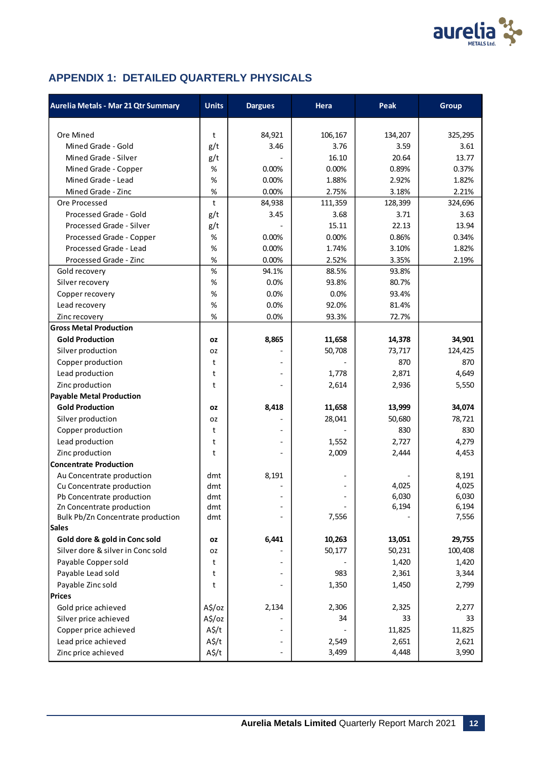

# **APPENDIX 1: DETAILED QUARTERLY PHYSICALS**

| Aurelia Metals - Mar 21 Qtr Summary | <b>Units</b> | <b>Dargues</b>           | Hera    | Peak    | <b>Group</b> |
|-------------------------------------|--------------|--------------------------|---------|---------|--------------|
|                                     |              |                          |         |         |              |
| Ore Mined                           | t            | 84,921                   | 106,167 | 134,207 | 325,295      |
| Mined Grade - Gold                  | g/t          | 3.46                     | 3.76    | 3.59    | 3.61         |
| Mined Grade - Silver                | g/t          |                          | 16.10   | 20.64   | 13.77        |
| Mined Grade - Copper                | $\%$         | 0.00%                    | 0.00%   | 0.89%   | 0.37%        |
| Mined Grade - Lead                  | $\%$         | 0.00%                    | 1.88%   | 2.92%   | 1.82%        |
| Mined Grade - Zinc                  | $\%$         | 0.00%                    | 2.75%   | 3.18%   | 2.21%        |
| Ore Processed                       | $\mathsf{t}$ | 84,938                   | 111,359 | 128,399 | 324,696      |
| Processed Grade - Gold              | g/t          | 3.45                     | 3.68    | 3.71    | 3.63         |
| Processed Grade - Silver            | g/t          |                          | 15.11   | 22.13   | 13.94        |
| Processed Grade - Copper            | %            | 0.00%                    | 0.00%   | 0.86%   | 0.34%        |
| Processed Grade - Lead              | %            | 0.00%                    | 1.74%   | 3.10%   | 1.82%        |
| Processed Grade - Zinc              | $\%$         | 0.00%                    | 2.52%   | 3.35%   | 2.19%        |
| Gold recovery                       | $\%$         | 94.1%                    | 88.5%   | 93.8%   |              |
| Silver recovery                     | $\%$         | 0.0%                     | 93.8%   | 80.7%   |              |
| Copper recovery                     | $\%$         | 0.0%                     | 0.0%    | 93.4%   |              |
| Lead recovery                       | $\%$         | 0.0%                     | 92.0%   | 81.4%   |              |
| Zinc recovery                       | $\%$         | 0.0%                     | 93.3%   | 72.7%   |              |
| <b>Gross Metal Production</b>       |              |                          |         |         |              |
| <b>Gold Production</b>              | OZ           | 8,865                    | 11,658  | 14,378  | 34,901       |
| Silver production                   | 0Z           |                          | 50,708  | 73,717  | 124,425      |
| Copper production                   | t            | $\overline{\phantom{0}}$ |         | 870     | 870          |
| Lead production                     | t            |                          | 1,778   | 2,871   | 4,649        |
| Zinc production                     | t            |                          | 2,614   | 2,936   | 5,550        |
| <b>Payable Metal Production</b>     |              |                          |         |         |              |
| <b>Gold Production</b>              | OZ           | 8,418                    | 11,658  | 13,999  | 34,074       |
| Silver production                   | 0Z           |                          | 28,041  | 50,680  | 78,721       |
| Copper production                   | t            |                          |         | 830     | 830          |
| Lead production                     | t            |                          | 1,552   | 2,727   | 4,279        |
| Zinc production                     | t            |                          | 2,009   | 2,444   | 4,453        |
| <b>Concentrate Production</b>       |              |                          |         |         |              |
| Au Concentrate production           | dmt          | 8,191                    |         |         | 8,191        |
| Cu Concentrate production           | dmt          |                          |         | 4,025   | 4,025        |
| Pb Concentrate production           | dmt          |                          |         | 6,030   | 6,030        |
| Zn Concentrate production           | dmt          |                          |         | 6,194   | 6,194        |
| Bulk Pb/Zn Concentrate production   | dmt          |                          | 7,556   |         | 7,556        |
| <b>Sales</b>                        |              |                          |         |         |              |
| Gold dore & gold in Conc sold       | OZ           | 6,441                    | 10,263  | 13,051  | 29,755       |
| Silver dore & silver in Conc sold   | ΟZ           |                          | 50,177  | 50,231  | 100,408      |
| Payable Copper sold                 | t            |                          |         | 1,420   | 1,420        |
| Payable Lead sold                   | t            |                          | 983     | 2,361   | 3,344        |
| Payable Zinc sold                   | t            |                          | 1,350   | 1,450   | 2,799        |
| <b>Prices</b>                       |              |                          |         |         |              |
| Gold price achieved                 | A\$/oz       | 2,134                    | 2,306   | 2,325   | 2,277        |
| Silver price achieved               | A\$/oz       |                          | 34      | 33      | 33           |
| Copper price achieved               | A\$/t        |                          |         | 11,825  | 11,825       |
| Lead price achieved                 | A\$/t        |                          | 2,549   | 2,651   | 2,621        |
| Zinc price achieved                 | A\$/t        | $\overline{\phantom{a}}$ | 3,499   | 4,448   | 3,990        |